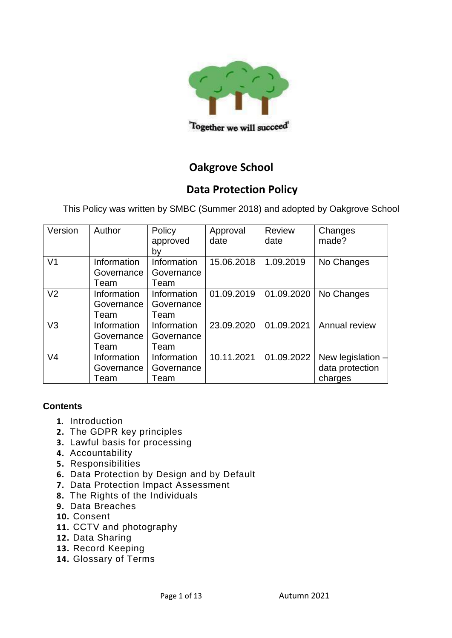

# **Oakgrove School**

# **Data Protection Policy**

This Policy was written by SMBC (Summer 2018) and adopted by Oakgrove School

| Version        | Author      | Policy      | Approval   | <b>Review</b> | Changes             |
|----------------|-------------|-------------|------------|---------------|---------------------|
|                |             | approved    | date       | date          | made?               |
|                |             | by          |            |               |                     |
| V <sub>1</sub> | Information | Information | 15.06.2018 | 1.09.2019     | No Changes          |
|                | Governance  | Governance  |            |               |                     |
|                | Team        | Team        |            |               |                     |
| V <sub>2</sub> | Information | Information | 01.09.2019 | 01.09.2020    | No Changes          |
|                | Governance  | Governance  |            |               |                     |
|                | Team        | Team        |            |               |                     |
| V <sub>3</sub> | Information | Information | 23.09.2020 | 01.09.2021    | Annual review       |
|                | Governance  | Governance  |            |               |                     |
|                | Team        | Team        |            |               |                     |
| V <sub>4</sub> | Information | Information | 10.11.2021 | 01.09.2022    | New legislation $-$ |
|                | Governance  | Governance  |            |               | data protection     |
|                | Team        | Team        |            |               | charges             |

### **Contents**

- **1.** Introduction
- **2.** [The GDPR key principles](#page-2-0)
- **3.** [Lawful basis for processing](#page-2-1)
- **4.** Accountability
- **5.** Responsibilities
- **6.** [Data Protection by Design and by Default](#page-6-0)
- **7.** [Data Protection Impact Assessment](#page-6-1)
- **8.** [The Rights of the Individuals](#page-7-0)
- **9.** [Data Breaches](#page-9-0)
- **10.** [Consent](#page-10-0)
- **11.** [CCTV and photography](#page-10-1)
- **12.** [Data Sharing](#page-10-2)
- **13.** [Record](#page-11-0) Keeping
- **14.** Glossary of Terms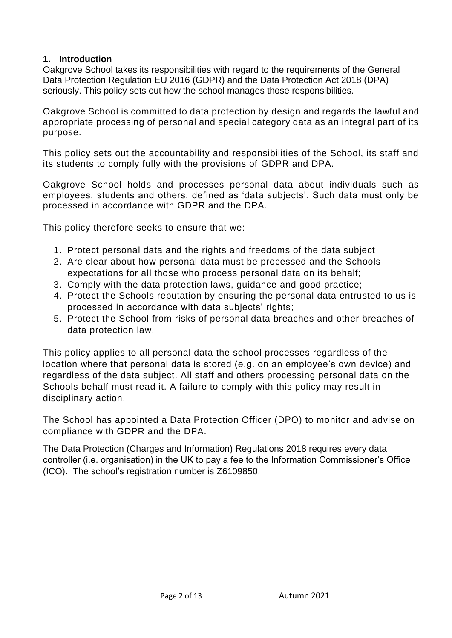#### **1. Introduction**

Oakgrove School takes its responsibilities with regard to the requirements of the General Data Protection Regulation EU 2016 (GDPR) and the Data Protection Act 2018 (DPA) seriously. This policy sets out how the school manages those responsibilities.

Oakgrove School is committed to data protection by design and regards the lawful and appropriate processing of personal and special category data as an integral part of its purpose.

This policy sets out the accountability and responsibilities of the School, its staff and its students to comply fully with the provisions of GDPR and DPA.

Oakgrove School holds and processes personal data about individuals such as employees, students and others, defined as 'data subjects'. Such data must only be processed in accordance with GDPR and the DPA.

This policy therefore seeks to ensure that we:

- 1. Protect personal data and the rights and freedoms of the data subject
- 2. Are clear about how personal data must be processed and the Schools expectations for all those who process personal data on its behalf;
- 3. Comply with the data protection laws, guidance and good practice;
- 4. Protect the Schools reputation by ensuring the personal data entrusted to us is processed in accordance with data subjects' rights;
- 5. Protect the School from risks of personal data breaches and other breaches of data protection law.

This policy applies to all personal data the school processes regardless of the location where that personal data is stored (e.g. on an employee's own device) and regardless of the data subject. All staff and others processing personal data on the Schools behalf must read it. A failure to comply with this policy may result in disciplinary action.

The School has appointed a Data Protection Officer (DPO) to monitor and advise on compliance with GDPR and the DPA.

The Data Protection (Charges and Information) Regulations 2018 requires every data controller (i.e. organisation) in the UK to pay a fee to the Information Commissioner's Office (ICO). The school's registration number is Z6109850.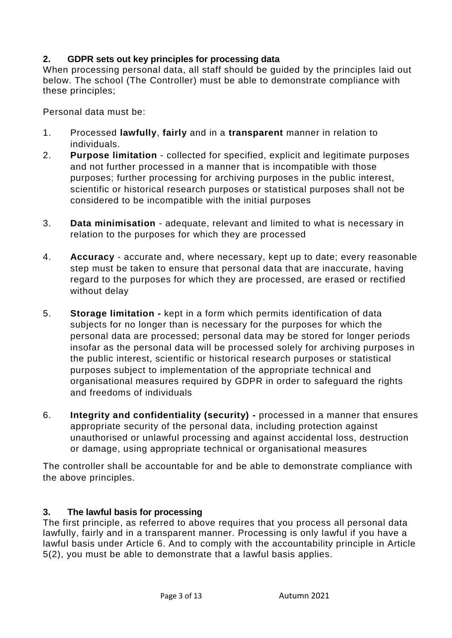### <span id="page-2-0"></span>**2. GDPR sets out key principles for processing data**

When processing personal data, all staff should be guided by the principles laid out below. The school (The Controller) must be able to demonstrate compliance with these principles;

Personal data must be:

- 1. Processed **lawfully**, **fairly** and in a **transparent** manner in relation to individuals.
- 2. **Purpose limitation** collected for specified, explicit and legitimate purposes and not further processed in a manner that is incompatible with those purposes; further processing for archiving purposes in the public interest, scientific or historical research purposes or statistical purposes shall not be considered to be incompatible with the initial purposes
- 3. **Data minimisation**  adequate, relevant and limited to what is necessary in relation to the purposes for which they are processed
- 4. **Accuracy** accurate and, where necessary, kept up to date; every reasonable step must be taken to ensure that personal data that are inaccurate, having regard to the purposes for which they are processed, are erased or rectified without delay
- 5. **Storage limitation -** kept in a form which permits identification of data subjects for no longer than is necessary for the purposes for which the personal data are processed; personal data may be stored for longer periods insofar as the personal data will be processed solely for archiving purposes in the public interest, scientific or historical research purposes or statistical purposes subject to implementation of the appropriate technical and organisational measures required by GDPR in order to safeguard the rights and freedoms of individuals
- 6. **Integrity and confidentiality (security) -** processed in a manner that ensures appropriate security of the personal data, including protection against unauthorised or unlawful processing and against accidental loss, destruction or damage, using appropriate technical or organisational measures

The controller shall be accountable for and be able to demonstrate compliance with the above principles.

# <span id="page-2-1"></span>**3. The lawful basis for processing**

The first principle, as referred to above requires that you process all personal data lawfully, fairly and in a transparent manner. Processing is only lawful if you have a lawful basis under Article 6. And to comply with the accountability principle in Article 5(2), you must be able to demonstrate that a lawful basis applies.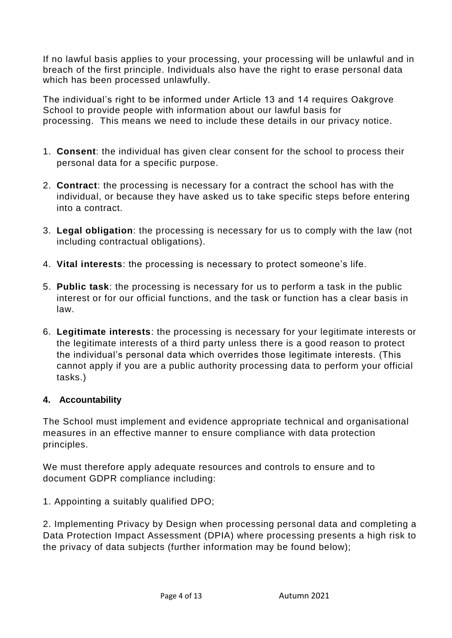If no lawful basis applies to your processing, your processing will be unlawful and in breach of the first principle. Individuals also have the right to erase personal data which has been processed unlawfully.

The individual's right to be informed under Article 13 and 14 requires Oakgrove School to provide people with information about our lawful basis for processing. This means we need to include these details in our privacy notice.

- 1. **Consent**: the individual has given clear consent for the school to process their personal data for a specific purpose.
- 2. **Contract**: the processing is necessary for a contract the school has with the individual, or because they have asked us to take specific steps before entering into a contract.
- 3. **Legal obligation**: the processing is necessary for us to comply with the law (not including contractual obligations).
- 4. **Vital interests**: the processing is necessary to protect someone's life.
- 5. **Public task**: the processing is necessary for us to perform a task in the public interest or for our official functions, and the task or function has a clear basis in law.
- 6. **Legitimate interests**: the processing is necessary for your legitimate interests or the legitimate interests of a third party unless there is a good reason to protect the individual's personal data which overrides those legitimate interests. (This cannot apply if you are a public authority processing data to perform your official tasks.)

### **4. Accountability**

The School must implement and evidence appropriate technical and organisational measures in an effective manner to ensure compliance with data protection principles.

We must therefore apply adequate resources and controls to ensure and to document GDPR compliance including:

1. Appointing a suitably qualified DPO;

2. Implementing Privacy by Design when processing personal data and completing a Data Protection Impact Assessment (DPIA) where processing presents a high risk to the privacy of data subjects (further information may be found below);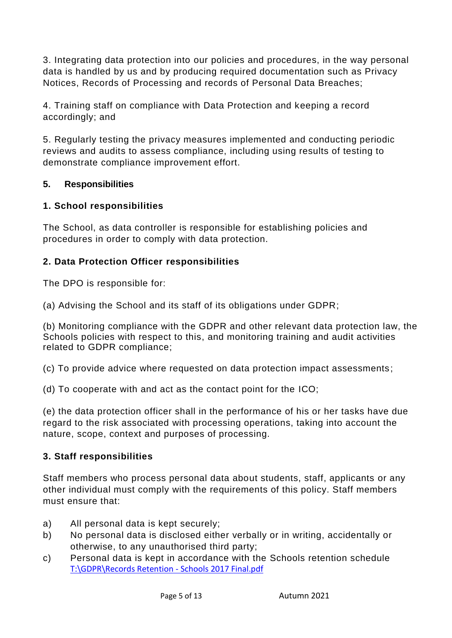3. Integrating data protection into our policies and procedures, in the way personal data is handled by us and by producing required documentation such as Privacy Notices, Records of Processing and records of Personal Data Breaches;

4. Training staff on compliance with Data Protection and keeping a record accordingly; and

5. Regularly testing the privacy measures implemented and conducting periodic reviews and audits to assess compliance, including using results of testing to demonstrate compliance improvement effort.

### **5. Responsibilities**

# **1. School responsibilities**

The School, as data controller is responsible for establishing policies and procedures in order to comply with data protection.

# **2. Data Protection Officer responsibilities**

The DPO is responsible for:

(a) Advising the School and its staff of its obligations under GDPR;

(b) Monitoring compliance with the GDPR and other relevant data protection law, the Schools policies with respect to this, and monitoring training and audit activities related to GDPR compliance;

(c) To provide advice where requested on data protection impact assessments;

(d) To cooperate with and act as the contact point for the ICO;

(e) the data protection officer shall in the performance of his or her tasks have due regard to the risk associated with processing operations, taking into account the nature, scope, context and purposes of processing.

# **3. Staff responsibilities**

Staff members who process personal data about students, staff, applicants or any other individual must comply with the requirements of this policy. Staff members must ensure that:

- a) All personal data is kept securely;
- b) No personal data is disclosed either verbally or in writing, accidentally or otherwise, to any unauthorised third party;
- c) Personal data is kept in accordance with the Schools retention schedule [T:\GDPR\Records Retention -](file://///OAK-SR-1.oakgrove.internal/RMStaff/GDPR/Records%20Retention%20-%20Schools%202017%20Final.pdf) Schools 2017 Final.pdf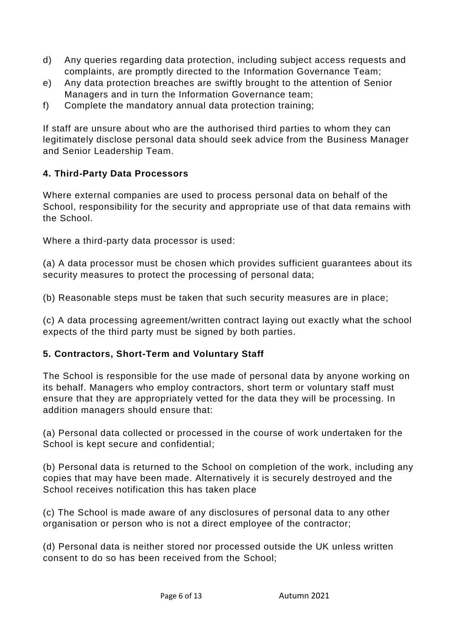- d) Any queries regarding data protection, including subject access requests and complaints, are promptly directed to the Information Governance Team;
- e) Any data protection breaches are swiftly brought to the attention of Senior Managers and in turn the Information Governance team;
- f) Complete the mandatory annual data protection training;

If staff are unsure about who are the authorised third parties to whom they can legitimately disclose personal data should seek advice from the Business Manager and Senior Leadership Team.

### **4. Third-Party Data Processors**

Where external companies are used to process personal data on behalf of the School, responsibility for the security and appropriate use of that data remains with the School.

Where a third-party data processor is used:

(a) A data processor must be chosen which provides sufficient guarantees about its security measures to protect the processing of personal data;

(b) Reasonable steps must be taken that such security measures are in place;

(c) A data processing agreement/written contract laying out exactly what the school expects of the third party must be signed by both parties.

### **5. Contractors, Short-Term and Voluntary Staff**

The School is responsible for the use made of personal data by anyone working on its behalf. Managers who employ contractors, short term or voluntary staff must ensure that they are appropriately vetted for the data they will be processing. In addition managers should ensure that:

(a) Personal data collected or processed in the course of work undertaken for the School is kept secure and confidential;

(b) Personal data is returned to the School on completion of the work, including any copies that may have been made. Alternatively it is securely destroyed and the School receives notification this has taken place

(c) The School is made aware of any disclosures of personal data to any other organisation or person who is not a direct employee of the contractor;

(d) Personal data is neither stored nor processed outside the UK unless written consent to do so has been received from the School;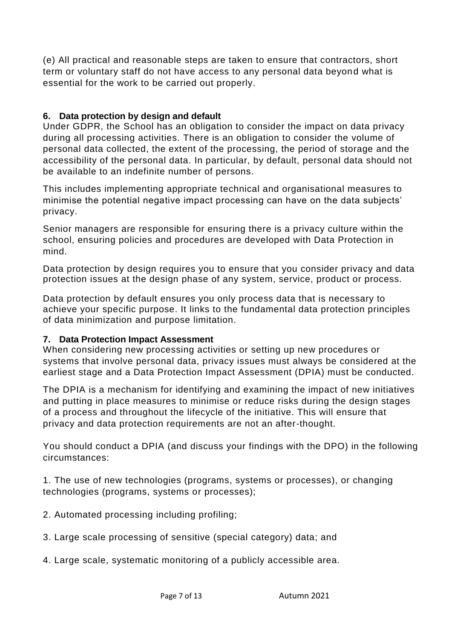(e) All practical and reasonable steps are taken to ensure that contractors, short term or voluntary staff do not have access to any personal data beyond what is essential for the work to be carried out properly.

### <span id="page-6-0"></span>**6. Data protection by design and default**

Under GDPR, the School has an obligation to consider the impact on data privacy during all processing activities. There is an obligation to consider the volume of personal data collected, the extent of the processing, the period of storage and the accessibility of the personal data. In particular, by default, personal data should not be available to an indefinite number of persons.

This includes implementing appropriate technical and organisational measures to minimise the potential negative impact processing can have on the data subjects' privacy.

Senior managers are responsible for ensuring there is a privacy culture within the school, ensuring policies and procedures are developed with Data Protection in mind.

Data protection by design requires you to ensure that you consider privacy and data protection issues at the design phase of any system, service, product or process.

Data protection by default ensures you only process data that is necessary to achieve your specific purpose. It links to the fundamental data protection principles of [data minimization](https://ico.org.uk/for-organisations/guide-to-the-general-data-protection-regulation-gdpr/principles/data-minimisation/) and [purpose limitation.](https://ico.org.uk/for-organisations/guide-to-the-general-data-protection-regulation-gdpr/principles/purpose-limitation/)

### <span id="page-6-1"></span>**7. Data Protection Impact Assessment**

When considering new processing activities or setting up new procedures or systems that involve personal data, privacy issues must always be considered at the earliest stage and a Data Protection Impact Assessment (DPIA) must be conducted.

The DPIA is a mechanism for identifying and examining the impact of new initiatives and putting in place measures to minimise or reduce risks during the design stages of a process and throughout the lifecycle of the initiative. This will ensure that privacy and data protection requirements are not an after-thought.

You should conduct a DPIA (and discuss your findings with the DPO) in the following circumstances:

1. The use of new technologies (programs, systems or processes), or changing technologies (programs, systems or processes);

2. Automated processing including profiling;

- 3. Large scale processing of sensitive (special category) data; and
- 4. Large scale, systematic monitoring of a publicly accessible area.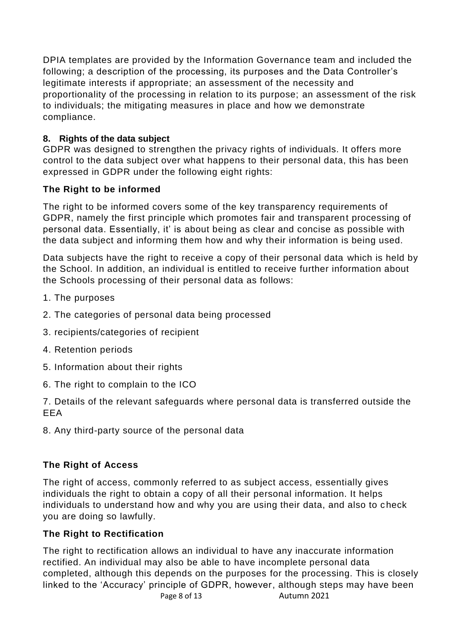DPIA templates are provided by the Information Governance team and included the following; a description of the processing, its purposes and the Data Controller's legitimate interests if appropriate; an assessment of the necessity and proportionality of the processing in relation to its purpose; an assessment of the risk to individuals; the mitigating measures in place and how we demonstrate compliance.

# <span id="page-7-0"></span>**8. Rights of the data subject**

GDPR was designed to strengthen the privacy rights of individuals. It offers more control to the data subject over what happens to their personal data, this has been expressed in GDPR under the following eight rights:

# **The Right to be informed**

The right to be informed covers some of the key transparency requirements of GDPR, namely the first principle which promotes fair and transparent processing of personal data. Essentially, it' is about being as clear and concise as possible with the data subject and informing them how and why their information is being used.

Data subjects have the right to receive a copy of their personal data which is held by the School. In addition, an individual is entitled to receive further information about the Schools processing of their personal data as follows:

- 1. The purposes
- 2. The categories of personal data being processed
- 3. recipients/categories of recipient
- 4. Retention periods
- 5. Information about their rights
- 6. The right to complain to the ICO

7. Details of the relevant safeguards where personal data is transferred outside the EEA

8. Any third-party source of the personal data

# **The Right of Access**

The right of access, commonly referred to as subject access, essentially gives individuals the right to obtain a copy of all their personal information. It helps individuals to understand how and why you are using their data, and also to check you are doing so lawfully.

# **The Right to Rectification**

Page 8 of 13 Autumn 2021 The right to rectification allows an individual to have any inaccurate information rectified. An individual may also be able to have incomplete personal data completed, although this depends on the purposes for the processing. This is closely linked to the 'Accuracy' principle of GDPR, however, although steps may have been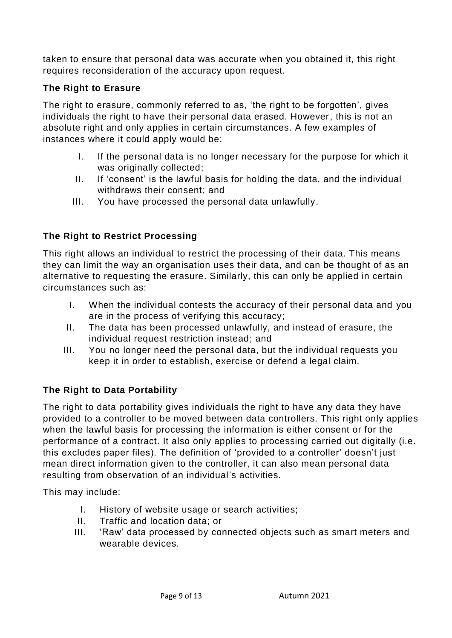taken to ensure that personal data was accurate when you obtained it, this right requires reconsideration of the accuracy upon request.

# **The Right to Erasure**

The right to erasure, commonly referred to as, 'the right to be forgotten', gives individuals the right to have their personal data erased. However, this is not an absolute right and only applies in certain circumstances. A few examples of instances where it could apply would be:

- I. If the personal data is no longer necessary for the purpose for which it was originally collected;
- II. If 'consent' is the lawful basis for holding the data, and the individual withdraws their consent; and
- III. You have processed the personal data unlawfully.

# **The Right to Restrict Processing**

This right allows an individual to restrict the processing of their data. This means they can limit the way an organisation uses their data, and can be thought of as an alternative to requesting the erasure. Similarly, this can only be applied in certain circumstances such as:

- I. When the individual contests the accuracy of their personal data and you are in the process of verifying this accuracy;
- II. The data has been processed unlawfully, and instead of erasure, the individual request restriction instead; and
- III. You no longer need the personal data, but the individual requests you keep it in order to establish, exercise or defend a legal claim.

# **The Right to Data Portability**

The right to data portability gives individuals the right to have any data they have provided to a controller to be moved between data controllers. This right only applies when the lawful basis for processing the information is either consent or for the performance of a contract. It also only applies to processing carried out digitally (i.e. this excludes paper files). The definition of 'provided to a controller' doesn't just mean direct information given to the controller, it can also mean personal data resulting from observation of an individual's activities.

This may include:

- I. History of website usage or search activities;
- II. Traffic and location data; or
- III. 'Raw' data processed by connected objects such as smart meters and wearable devices.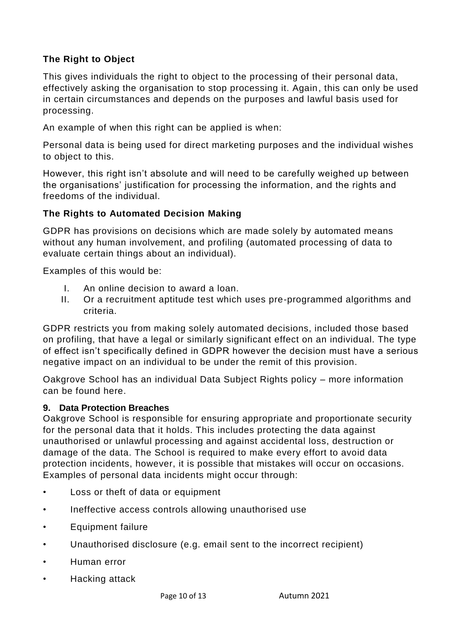# **The Right to Object**

This gives individuals the right to object to the processing of their personal data, effectively asking the organisation to stop processing it. Again, this can only be used in certain circumstances and depends on the purposes and lawful basis used for processing.

An example of when this right can be applied is when:

Personal data is being used for direct marketing purposes and the individual wishes to object to this.

However, this right isn't absolute and will need to be carefully weighed up between the organisations' justification for processing the information, and the rights and freedoms of the individual.

### **The Rights to Automated Decision Making**

GDPR has provisions on decisions which are made solely by automated means without any human involvement, and profiling (automated processing of data to evaluate certain things about an individual).

Examples of this would be:

- I. An online decision to award a loan.
- II. Or a recruitment aptitude test which uses pre-programmed algorithms and criteria.

GDPR restricts you from making solely automated decisions, included those based on profiling, that have a legal or similarly significant effect on an individual. The type of effect isn't specifically defined in GDPR however the decision must have a serious negative impact on an individual to be under the remit of this provision.

Oakgrove School has an individual Data Subject Rights policy – more information can be found here.

### <span id="page-9-0"></span>**9. Data Protection Breaches**

Oakgrove School is responsible for ensuring appropriate and proportionate security for the personal data that it holds. This includes protecting the data against unauthorised or unlawful processing and against accidental loss, destruction or damage of the data. The School is required to make every effort to avoid data protection incidents, however, it is possible that mistakes will occur on occasions. Examples of personal data incidents might occur through:

- Loss or theft of data or equipment
- Ineffective access controls allowing unauthorised use
- Equipment failure
- Unauthorised disclosure (e.g. email sent to the incorrect recipient)
- Human error
- Hacking attack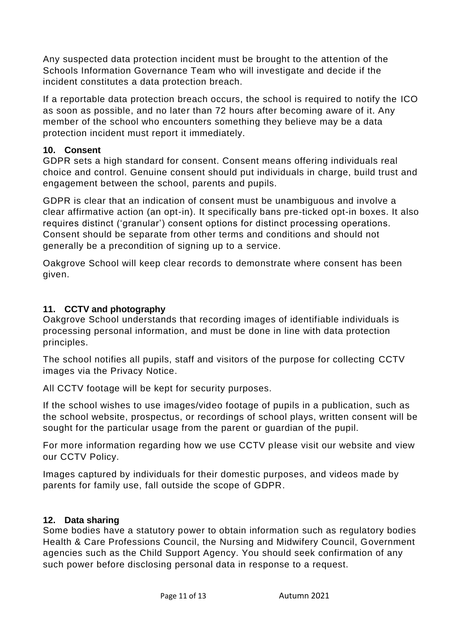Any suspected data protection incident must be brought to the attention of the Schools Information Governance Team who will investigate and decide if the incident constitutes a data protection breach.

If a reportable data protection breach occurs, the school is required to notify the ICO as soon as possible, and no later than 72 hours after becoming aware of it. Any member of the school who encounters something they believe may be a data protection incident must report it immediately.

### <span id="page-10-0"></span>**10. Consent**

GDPR sets a high standard for consent. Consent means offering individuals real choice and control. Genuine consent should put individuals in charge, build trust and engagement between the school, parents and pupils.

GDPR is clear that an indication of consent must be unambiguous and involve a clear affirmative action (an opt-in). It specifically bans pre-ticked opt-in boxes. It also requires distinct ('granular') consent options for distinct processing operations. Consent should be separate from other terms and conditions and should not generally be a precondition of signing up to a service.

Oakgrove School will keep clear records to demonstrate where consent has been given.

### <span id="page-10-1"></span>**11. CCTV and photography**

Oakgrove School understands that recording images of identifiable individuals is processing personal information, and must be done in line with data protection principles.

The school notifies all pupils, staff and visitors of the purpose for collecting CCTV images via the Privacy Notice.

All CCTV footage will be kept for security purposes.

If the school wishes to use images/video footage of pupils in a publication, such as the school website, prospectus, or recordings of school plays, written consent will be sought for the particular usage from the parent or guardian of the pupil.

For more information regarding how we use CCTV please visit our website and view our CCTV Policy.

Images captured by individuals for their domestic purposes, and videos made by parents for family use, fall outside the scope of GDPR.

# <span id="page-10-2"></span>**12. Data sharing**

Some bodies have a statutory power to obtain information such as regulatory bodies Health & Care Professions Council, the Nursing and Midwifery Council, Government agencies such as the Child Support Agency. You should seek confirmation of any such power before disclosing personal data in response to a request.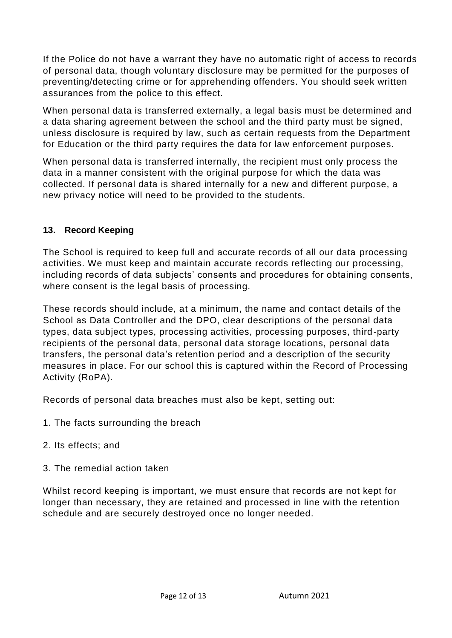If the Police do not have a warrant they have no automatic right of access to records of personal data, though voluntary disclosure may be permitted for the purposes of preventing/detecting crime or for apprehending offenders. You should seek written assurances from the police to this effect.

When personal data is transferred externally, a legal basis must be determined and a data sharing agreement between the school and the third party must be signed, unless disclosure is required by law, such as certain requests from the Department for Education or the third party requires the data for law enforcement purposes.

When personal data is transferred internally, the recipient must only process the data in a manner consistent with the original purpose for which the data was collected. If personal data is shared internally for a new and different purpose, a new privacy notice will need to be provided to the students.

### <span id="page-11-0"></span>**13. Record Keeping**

The School is required to keep full and accurate records of all our data processing activities. We must keep and maintain accurate records reflecting our processing, including records of data subjects' consents and procedures for obtaining consents, where consent is the legal basis of processing.

These records should include, at a minimum, the name and contact details of the School as Data Controller and the DPO, clear descriptions of the personal data types, data subject types, processing activities, processing purposes, third-party recipients of the personal data, personal data storage locations, personal data transfers, the personal data's retention period and a description of the security measures in place. For our school this is captured within the Record of Processing Activity (RoPA).

Records of personal data breaches must also be kept, setting out:

- 1. The facts surrounding the breach
- 2. Its effects; and
- 3. The remedial action taken

Whilst record keeping is important, we must ensure that records are not kept for longer than necessary, they are retained and processed in line with the retention schedule and are securely destroyed once no longer needed.